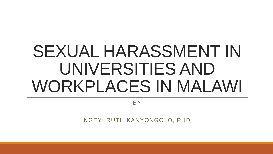# SEXUAL HARASSMENT IN UNIVERSITIES AND WORKPLACES IN MALAWI

BY

NGEYI RUTH KANYONGOLO, PHD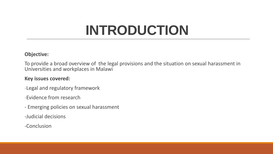## **INTRODUCTION**

#### **Objective:**

To provide a broad overview of the legal provisions and the situation on sexual harassment in Universities and workplaces in Malawi

#### **Key issues covered:**

- -Legal and regulatory framework
- -Evidence from research
- Emerging policies on sexual harassment
- -Judicial decisions
- -Conclusion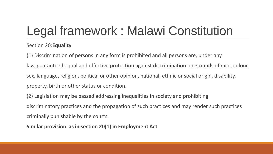### Legal framework : Malawi Constitution

#### Section 20:**Equality**

(1) Discrimination of persons in any form is prohibited and all persons are, under any law, guaranteed equal and effective protection against discrimination on grounds of race, colour, sex, language, religion, political or other opinion, national, ethnic or social origin, disability, property, birth or other status or condition.

(2) Legislation may be passed addressing inequalities in society and prohibiting discriminatory practices and the propagation of such practices and may render such practices criminally punishable by the courts.

**Similar provision as in section 20(1) in Employment Act**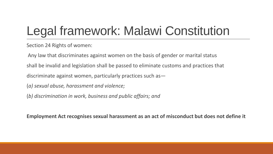### Legal framework: Malawi Constitution

Section 24 Rights of women:

Any law that discriminates against women on the basis of gender or marital status shall be invalid and legislation shall be passed to eliminate customs and practices that discriminate against women, particularly practices such as— (*a) sexual abuse, harassment and violence;*

(*b) discrimination in work, business and public affairs; and*

**Employment Act recognises sexual harassment as an act of misconduct but does not define it**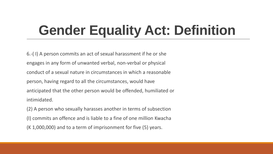## **Gender Equality Act: Definition**

6.-( I) A person commits an act of sexual harassment if he or she engages in any form of unwanted verbal, non-verbal or physical conduct of a sexual nature in circumstances in which a reasonable person, having regard to all the circumstances, would have anticipated that the other person would be offended, humiliated or intimidated.

(2) A person who sexually harasses another in terms of subsection (I) commits an offence and is liable to a fine of one million Kwacha (K 1,000,000) and to a term of imprisonment for five (5) years.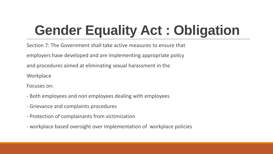## **Gender Equality Act : Obligation**

Section 7: The Government shall take active measures to ensure that employers have developed and are implementing appropriate policy and procedures aimed at eliminating sexual harassment in the **Workplace** 

Focuses on:

- Both employees and non employees dealing with employees
- Grievance and complaints procedures
- Protection of complainants from victimization
- workplace based oversight over implementation of workplace policies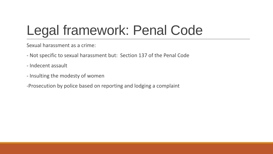## Legal framework: Penal Code

Sexual harassment as a crime:

- Not specific to sexual harassment but: Section 137 of the Penal Code
- Indecent assault
- Insulting the modesty of women
- -Prosecution by police based on reporting and lodging a complaint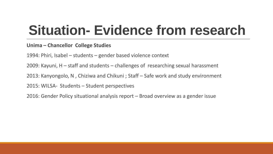## **Situation- Evidence from research**

#### **Unima – Chancellor College Studies**

1994: Phiri, Isabel – students – gender based violence context

2009: Kayuni, H – staff and students – challenges of researching sexual harassment

2013: Kanyongolo, N , Chiziwa and Chikuni ; Staff – Safe work and study environment

2015: WILSA- Students – Student perspectives

2016: Gender Policy situational analysis report – Broad overview as a gender issue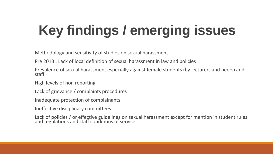# **Key findings / emerging issues**

Methodology and sensitivity of studies on sexual harassment

Pre 2013 : Lack of local definition of sexual harassment in law and policies

Prevalence of sexual harassment especially against female students (by lecturers and peers) and staff

High levels of non reporting

Lack of grievance / complaints procedures

Inadequate protection of complainants

Ineffective disciplinary committees

Lack of policies / or effective guidelines on sexual harassment except for mention in student rules and regulations and staff conditions of service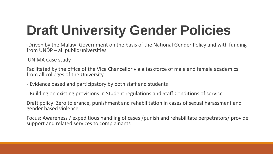# **Draft University Gender Policies**

-Driven by the Malawi Government on the basis of the National Gender Policy and with funding from UNDP – all public universities

UNIMA Case study

Facilitated by the office of the Vice Chancellor via a taskforce of male and female academics from all colleges of the University

- Evidence based and participatory by both staff and students
- Building on existing provisions in Student regulations and Staff Conditions of service

Draft policy: Zero tolerance, punishment and rehabilitation in cases of sexual harassment and gender based violence

Focus: Awareness / expeditious handling of cases /punish and rehabilitate perpetrators/ provide support and related services to complainants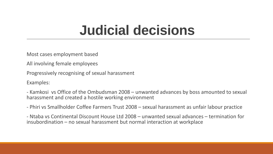#### **Judicial decisions**

Most cases employment based

All involving female employees

Progressively recognising of sexual harassment

Examples:

- Kamkosi vs Office of the Ombudsman 2008 – unwanted advances by boss amounted to sexual harassment and created a hostile working environment

- Phiri vs Smallholder Coffee Farmers Trust 2008 – sexual harassment as unfair labour practice

- Ntaba vs Continental Discount House Ltd 2008 – unwanted sexual advances – termination for insubordination – no sexual harassment but normal interaction at workplace